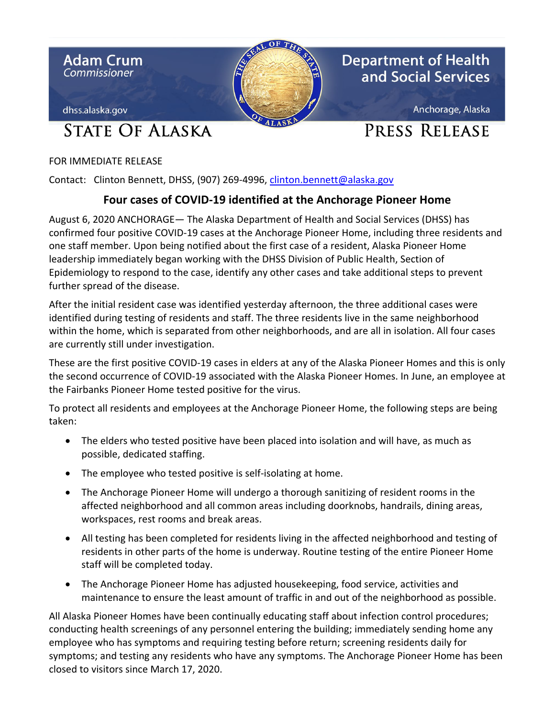

FOR IMMEDIATE RELEASE

Contact: Clinton Bennett, DHSS, (907) 269-4996, clinton.bennett@alaska.gov

## **Four cases of COVID-19 identified at the Anchorage Pioneer Home**

August 6, 2020 ANCHORAGE— The Alaska Department of Health and Social Services (DHSS) has confirmed four positive COVID-19 cases at the Anchorage Pioneer Home, including three residents and one staff member. Upon being notified about the first case of a resident, Alaska Pioneer Home leadership immediately began working with the DHSS Division of Public Health, Section of Epidemiology to respond to the case, identify any other cases and take additional steps to prevent further spread of the disease.

After the initial resident case was identified yesterday afternoon, the three additional cases were identified during testing of residents and staff. The three residents live in the same neighborhood within the home, which is separated from other neighborhoods, and are all in isolation. All four cases are currently still under investigation.

These are the first positive COVID-19 cases in elders at any of the Alaska Pioneer Homes and this is only the second occurrence of COVID-19 associated with the Alaska Pioneer Homes. In June, an employee at the Fairbanks Pioneer Home tested positive for the virus.

To protect all residents and employees at the Anchorage Pioneer Home, the following steps are being taken:

- The elders who tested positive have been placed into isolation and will have, as much as possible, dedicated staffing.
- The employee who tested positive is self-isolating at home.
- The Anchorage Pioneer Home will undergo a thorough sanitizing of resident rooms in the affected neighborhood and all common areas including doorknobs, handrails, dining areas, workspaces, rest rooms and break areas.
- All testing has been completed for residents living in the affected neighborhood and testing of residents in other parts of the home is underway. Routine testing of the entire Pioneer Home staff will be completed today.
- The Anchorage Pioneer Home has adjusted housekeeping, food service, activities and maintenance to ensure the least amount of traffic in and out of the neighborhood as possible.

All Alaska Pioneer Homes have been continually educating staff about infection control procedures; conducting health screenings of any personnel entering the building; immediately sending home any employee who has symptoms and requiring testing before return; screening residents daily for symptoms; and testing any residents who have any symptoms. The Anchorage Pioneer Home has been closed to visitors since March 17, 2020.